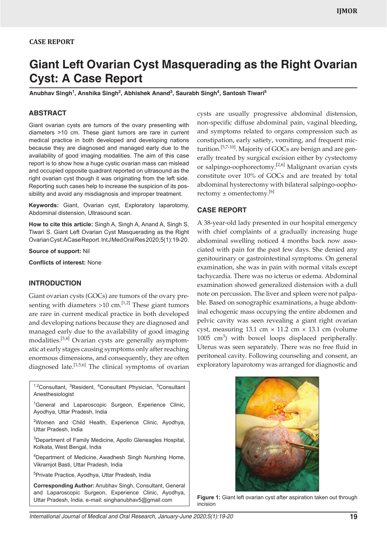## **CASE REPORT**

# **Giant Left Ovarian Cyst Masquerading as the Right Ovarian Cyst: A Case Report**

Anubhav Singh<sup>1</sup>, Anshika Singh<sup>2</sup>, Abhishek Anand<sup>3</sup>, Saurabh Singh<sup>4</sup>, Santosh Tiwari<sup>5</sup>

## **ABSTRACT**

Giant ovarian cysts are tumors of the ovary presenting with diameters >10 cm. These giant tumors are rare in current medical practice in both developed and developing nations because they are diagnosed and managed early due to the availability of good imaging modalities. The aim of this case report is to show how a huge cystic ovarian mass can mislead and occupied opposite quadrant reported on ultrasound as the right ovarian cyst though it was originating from the left side. Reporting such cases help to increase the suspicion of its possibility and avoid any misdiagnosis and improper treatment.

**Keywords:** Giant, Ovarian cyst, Exploratory laparotomy, Abdominal distension, Ultrasound scan.

**How to cite this article:** Singh A, Singh A, Anand A, Singh S, Tiwari S. Giant Left Ovarian Cyst Masquerading as the Right Ovarian Cyst: A Case Report. Int J Med Oral Res 2020;5(1):19-20.

**Source of support:** Nil

**Conflicts of interest:** None

#### **INTRODUCTION**

Giant ovarian cysts (GOCs) are tumors of the ovary presenting with diameters  $>10$  cm.<sup>[1,2]</sup> These giant tumors are rare in current medical practice in both developed and developing nations because they are diagnosed and managed early due to the availability of good imaging modalities.[3,4] Ovarian cysts are generally asymptomatic at early stages causing symptoms only after reaching enormous dimensions, and consequently, they are often diagnosed late.<sup>[1,5,6]</sup> The clinical symptoms of ovarian

<sup>1,2</sup>Consultant, <sup>3</sup>Resident, <sup>4</sup>Consultant Physician, <sup>5</sup>Consultant Anesthesiologist <sup>1</sup>General and Laparoscopic Surgeon, Experience Clinic, Ayodhya, Uttar Pradesh, India <sup>2</sup>Women and Child Health, Experience Clinic, Ayodhya, Uttar Pradesh, India

<sup>3</sup>Department of Family Medicine, Apollo Gleneagles Hospital, Kolkata, West Bengal, India

4 Department of Medicine, Awadhesh Singh Nurshing Home, Vikramjot Basti, Uttar Pradesh, India

5 Private Practice, Ayodhya, Uttar Pradesh, India

**Corresponding Author:** Anubhav Singh, Consultant, General and Laparoscopic Surgeon, Experience Clinic, Ayodhya, Uttar Pradesh, India. e-mail: singhanubhav5@gmail.com

cysts are usually progressive abdominal distension, non-specific diffuse abdominal pain, vaginal bleeding, and symptoms related to organs compression such as constipation, early satiety, vomiting, and frequent micturition.<sup>[5,7-10]</sup>. Majority of GOCs are benign and are generally treated by surgical excision either by cystectomy or salpingo-oophorectomy.<sup>[2,6]</sup> Malignant ovarian cysts constitute over 10% of GOCs and are treated by total abdominal hysterectomy with bilateral salpingo-oophorectomy  $\pm$  omentectomy.<sup>[6]</sup>

## **CASE REPORT**

A 38-year-old lady presented in our hospital emergency with chief complaints of a gradually increasing huge abdominal swelling noticed 4 months back now associated with pain for the past few days. She denied any genitourinary or gastrointestinal symptoms. On general examination, she was in pain with normal vitals except tachycardia. There was no icterus or edema. Abdominal examination showed generalized distension with a dull note on percussion. The liver and spleen were not palpable. Based on sonographic examinations, a huge abdominal echogenic mass occupying the entire abdomen and pelvic cavity was seen revealing a giant right ovarian cyst, measuring 13.1 cm  $\times$  11.2 cm  $\times$  13.1 cm (volume 1005  $\text{cm}^3$ ) with bowel loops displaced peripherally. Uterus was seen separately. There was no free fluid in peritoneal cavity. Following counseling and consent, an exploratory laparotomy was arranged for diagnostic and



**Figure 1:** Giant left ovarian cyst after aspiration taken out through incision